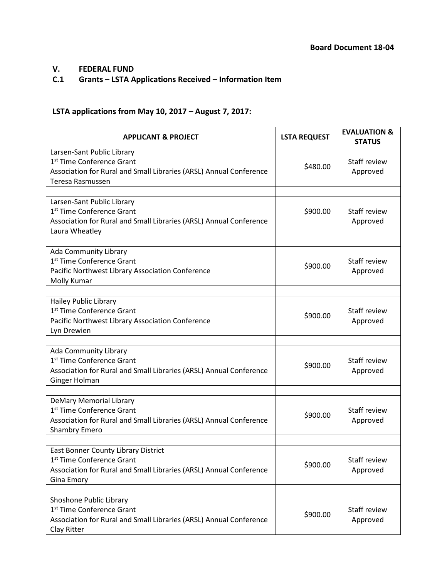# **V. FEDERAL FUND**

### **C.1 Grants – LSTA Applications Received – Information Item**

## **LSTA applications from May 10, 2017 – August 7, 2017:**

| <b>APPLICANT &amp; PROJECT</b>                                                                                                                                        | <b>LSTA REQUEST</b> | <b>EVALUATION &amp;</b><br><b>STATUS</b> |
|-----------------------------------------------------------------------------------------------------------------------------------------------------------------------|---------------------|------------------------------------------|
| Larsen-Sant Public Library<br>1 <sup>st</sup> Time Conference Grant<br>Association for Rural and Small Libraries (ARSL) Annual Conference<br>Teresa Rasmussen         | \$480.00            | Staff review<br>Approved                 |
|                                                                                                                                                                       |                     |                                          |
| Larsen-Sant Public Library<br>1 <sup>st</sup> Time Conference Grant<br>Association for Rural and Small Libraries (ARSL) Annual Conference<br>Laura Wheatley           | \$900.00            | Staff review<br>Approved                 |
|                                                                                                                                                                       |                     |                                          |
| Ada Community Library<br>1 <sup>st</sup> Time Conference Grant<br>Pacific Northwest Library Association Conference<br>Molly Kumar                                     | \$900.00            | Staff review<br>Approved                 |
|                                                                                                                                                                       |                     |                                          |
| Hailey Public Library<br>1 <sup>st</sup> Time Conference Grant<br>Pacific Northwest Library Association Conference<br>Lyn Drewien                                     | \$900.00            | Staff review<br>Approved                 |
|                                                                                                                                                                       |                     |                                          |
| Ada Community Library<br>1 <sup>st</sup> Time Conference Grant<br>Association for Rural and Small Libraries (ARSL) Annual Conference<br>Ginger Holman                 | \$900.00            | Staff review<br>Approved                 |
|                                                                                                                                                                       |                     |                                          |
| <b>DeMary Memorial Library</b><br>1 <sup>st</sup> Time Conference Grant<br>Association for Rural and Small Libraries (ARSL) Annual Conference<br><b>Shambry Emero</b> | \$900.00            | Staff review<br>Approved                 |
|                                                                                                                                                                       |                     |                                          |
| East Bonner County Library District<br>1st Time Conference Grant<br>Association for Rural and Small Libraries (ARSL) Annual Conference<br>Gina Emory                  | \$900.00            | Staff review<br>Approved                 |
|                                                                                                                                                                       |                     |                                          |
| Shoshone Public Library<br>1 <sup>st</sup> Time Conference Grant<br>Association for Rural and Small Libraries (ARSL) Annual Conference<br>Clay Ritter                 | \$900.00            | Staff review<br>Approved                 |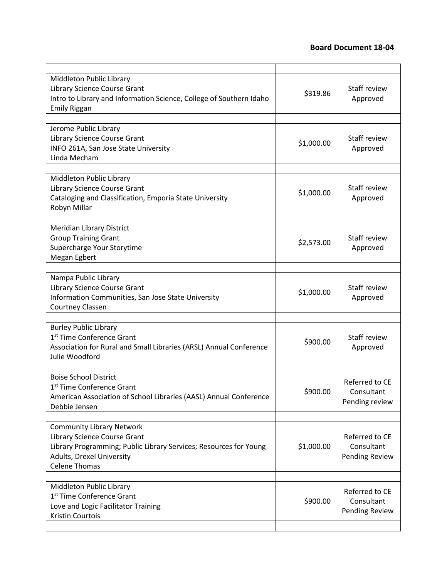### **Board Document 18-04**

| Middleton Public Library<br>Library Science Course Grant<br>Intro to Library and Information Science, College of Southern Idaho<br><b>Emily Riggan</b>                                     | \$319.86   | Staff review<br>Approved                       |
|--------------------------------------------------------------------------------------------------------------------------------------------------------------------------------------------|------------|------------------------------------------------|
|                                                                                                                                                                                            |            |                                                |
| Jerome Public Library<br>Library Science Course Grant<br>INFO 261A, San Jose State University<br>Linda Mecham                                                                              | \$1,000.00 | Staff review<br>Approved                       |
|                                                                                                                                                                                            |            |                                                |
| Middleton Public Library<br>Library Science Course Grant<br>Cataloging and Classification, Emporia State University<br>Robyn Millar                                                        | \$1,000.00 | Staff review<br>Approved                       |
|                                                                                                                                                                                            |            |                                                |
| Meridian Library District<br><b>Group Training Grant</b><br>Supercharge Your Storytime<br>Megan Egbert                                                                                     | \$2,573.00 | Staff review<br>Approved                       |
|                                                                                                                                                                                            |            |                                                |
| Nampa Public Library<br>Library Science Course Grant<br>Information Communities, San Jose State University<br>Courtney Classen                                                             | \$1,000.00 | Staff review<br>Approved                       |
|                                                                                                                                                                                            |            |                                                |
| <b>Burley Public Library</b><br>1 <sup>st</sup> Time Conference Grant<br>Association for Rural and Small Libraries (ARSL) Annual Conference<br>Julie Woodford                              | \$900.00   | Staff review<br>Approved                       |
|                                                                                                                                                                                            |            |                                                |
| <b>Boise School District</b><br>1 <sup>st</sup> Time Conference Grant<br>American Association of School Libraries (AASL) Annual Conference<br>Debbie Jensen                                | \$900.00   | Referred to CE<br>Consultant<br>Pending review |
|                                                                                                                                                                                            |            |                                                |
| <b>Community Library Network</b><br>Library Science Course Grant<br>Library Programming; Public Library Services; Resources for Young<br>Adults, Drexel University<br><b>Celene Thomas</b> | \$1,000.00 | Referred to CE<br>Consultant<br>Pending Review |
|                                                                                                                                                                                            |            |                                                |
| Middleton Public Library<br>1st Time Conference Grant<br>Love and Logic Facilitator Training<br>Kristin Courtois                                                                           | \$900.00   | Referred to CE<br>Consultant<br>Pending Review |
|                                                                                                                                                                                            |            |                                                |